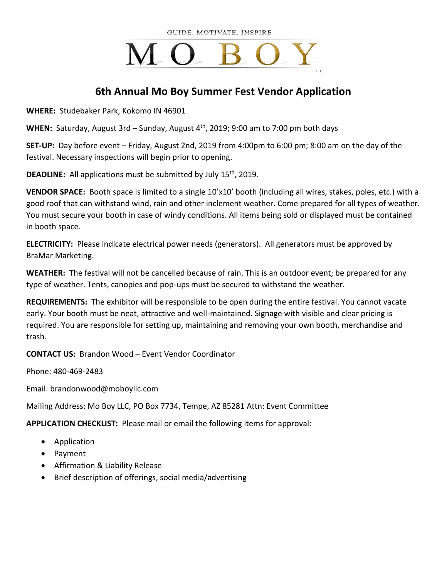# $M_{\odot}$

# **6th Annual Mo Boy Summer Fest Vendor Application**

**WHERE:** Studebaker Park, Kokomo IN 46901

WHEN: Saturday, August 3rd – Sunday, August 4<sup>th</sup>, 2019; 9:00 am to 7:00 pm both days

**SET-UP:** Day before event – Friday, August 2nd, 2019 from 4:00pm to 6:00 pm; 8:00 am on the day of the festival. Necessary inspections will begin prior to opening.

**DEADLINE:** All applications must be submitted by July 15<sup>th</sup>, 2019.

**VENDOR SPACE:** Booth space is limited to a single 10'x10' booth (including all wires, stakes, poles, etc.) with a good roof that can withstand wind, rain and other inclement weather. Come prepared for all types of weather. You must secure your booth in case of windy conditions. All items being sold or displayed must be contained in booth space.

**ELECTRICITY:** Please indicate electrical power needs (generators). All generators must be approved by BraMar Marketing.

**WEATHER:** The festival will not be cancelled because of rain. This is an outdoor event; be prepared for any type of weather. Tents, canopies and pop-ups must be secured to withstand the weather.

**REQUIREMENTS:** The exhibitor will be responsible to be open during the entire festival. You cannot vacate early. Your booth must be neat, attractive and well-maintained. Signage with visible and clear pricing is required. You are responsible for setting up, maintaining and removing your own booth, merchandise and trash.

**CONTACT US:** Brandon Wood – Event Vendor Coordinator

Phone: 480-469-2483

Email: brandonwood@moboyllc.com

Mailing Address: Mo Boy LLC, PO Box 7734, Tempe, AZ 85281 Attn: Event Committee

**APPLICATION CHECKLIST:** Please mail or email the following items for approval:

- Application
- Payment
- Affirmation & Liability Release
- Brief description of offerings, social media/advertising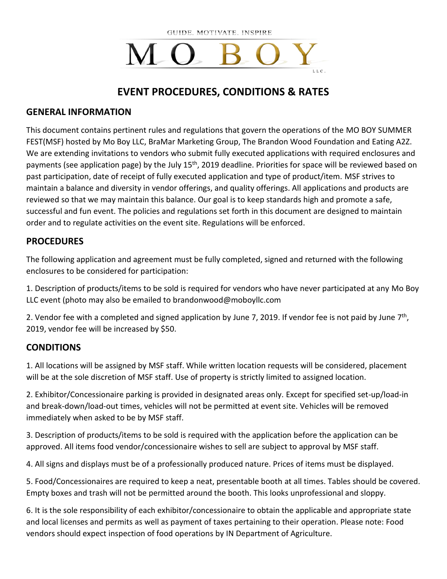# MO.

# **EVENT PROCEDURES, CONDITIONS & RATES**

#### **GENERAL INFORMATION**

This document contains pertinent rules and regulations that govern the operations of the MO BOY SUMMER FEST(MSF) hosted by Mo Boy LLC, BraMar Marketing Group, The Brandon Wood Foundation and Eating A2Z. We are extending invitations to vendors who submit fully executed applications with required enclosures and payments (see application page) by the July 15<sup>th</sup>, 2019 deadline. Priorities for space will be reviewed based on past participation, date of receipt of fully executed application and type of product/item. MSF strives to maintain a balance and diversity in vendor offerings, and quality offerings. All applications and products are reviewed so that we may maintain this balance. Our goal is to keep standards high and promote a safe, successful and fun event. The policies and regulations set forth in this document are designed to maintain order and to regulate activities on the event site. Regulations will be enforced.

### **PROCEDURES**

The following application and agreement must be fully completed, signed and returned with the following enclosures to be considered for participation:

1. Description of products/items to be sold is required for vendors who have never participated at any Mo Boy LLC event (photo may also be emailed to brandonwood@moboyllc.com

2. Vendor fee with a completed and signed application by June 7, 2019. If vendor fee is not paid by June  $7<sup>th</sup>$ , 2019, vendor fee will be increased by \$50.

### **CONDITIONS**

1. All locations will be assigned by MSF staff. While written location requests will be considered, placement will be at the sole discretion of MSF staff. Use of property is strictly limited to assigned location.

2. Exhibitor/Concessionaire parking is provided in designated areas only. Except for specified set-up/load-in and break-down/load-out times, vehicles will not be permitted at event site. Vehicles will be removed immediately when asked to be by MSF staff.

3. Description of products/items to be sold is required with the application before the application can be approved. All items food vendor/concessionaire wishes to sell are subject to approval by MSF staff.

4. All signs and displays must be of a professionally produced nature. Prices of items must be displayed.

5. Food/Concessionaires are required to keep a neat, presentable booth at all times. Tables should be covered. Empty boxes and trash will not be permitted around the booth. This looks unprofessional and sloppy.

6. It is the sole responsibility of each exhibitor/concessionaire to obtain the applicable and appropriate state and local licenses and permits as well as payment of taxes pertaining to their operation. Please note: Food vendors should expect inspection of food operations by IN Department of Agriculture.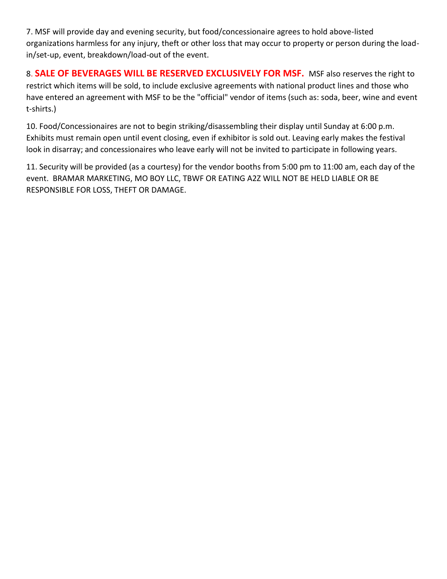7. MSF will provide day and evening security, but food/concessionaire agrees to hold above-listed organizations harmless for any injury, theft or other loss that may occur to property or person during the loadin/set-up, event, breakdown/load-out of the event.

8. **SALE OF BEVERAGES WILL BE RESERVED EXCLUSIVELY FOR MSF.** MSF also reserves the right to restrict which items will be sold, to include exclusive agreements with national product lines and those who have entered an agreement with MSF to be the "official" vendor of items (such as: soda, beer, wine and event t-shirts.)

10. Food/Concessionaires are not to begin striking/disassembling their display until Sunday at 6:00 p.m. Exhibits must remain open until event closing, even if exhibitor is sold out. Leaving early makes the festival look in disarray; and concessionaires who leave early will not be invited to participate in following years.

11. Security will be provided (as a courtesy) for the vendor booths from 5:00 pm to 11:00 am, each day of the event. BRAMAR MARKETING, MO BOY LLC, TBWF OR EATING A2Z WILL NOT BE HELD LIABLE OR BE RESPONSIBLE FOR LOSS, THEFT OR DAMAGE.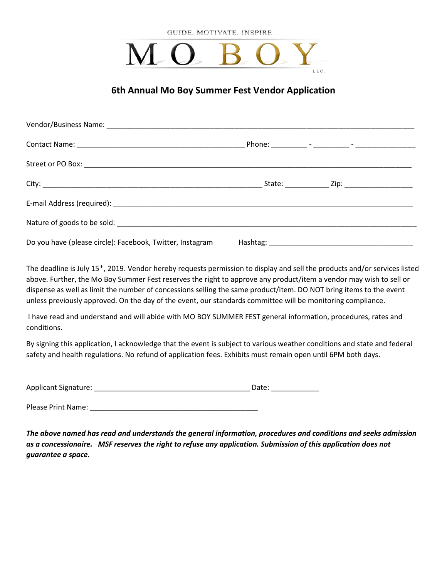

#### **6th Annual Mo Boy Summer Fest Vendor Application**

| Do you have (please circle): Facebook, Twitter, Instagram |  |  |
|-----------------------------------------------------------|--|--|

The deadline is July 15<sup>th</sup>, 2019. Vendor hereby requests permission to display and sell the products and/or services listed above. Further, the Mo Boy Summer Fest reserves the right to approve any product/item a vendor may wish to sell or dispense as well as limit the number of concessions selling the same product/item. DO NOT bring items to the event unless previously approved. On the day of the event, our standards committee will be monitoring compliance.

I have read and understand and will abide with MO BOY SUMMER FEST general information, procedures, rates and conditions.

By signing this application, I acknowledge that the event is subject to various weather conditions and state and federal safety and health regulations. No refund of application fees. Exhibits must remain open until 6PM both days.

Applicant Signature: \_\_\_\_\_\_\_\_\_\_\_\_\_\_\_\_\_\_\_\_\_\_\_\_\_\_\_\_\_\_\_\_\_\_\_\_\_\_\_ Date: \_\_\_\_\_\_\_\_\_\_\_\_

Please Print Name: **Example 20** 

*The above named has read and understands the general information, procedures and conditions and seeks admission as a concessionaire. MSF reserves the right to refuse any application. Submission of this application does not guarantee a space.*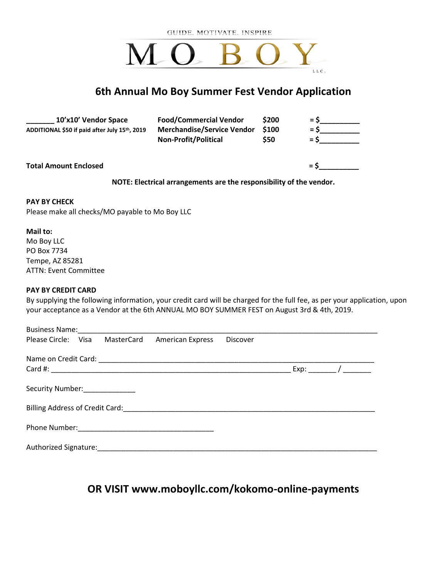# MO BO L L C

### **6th Annual Mo Boy Summer Fest Vendor Application**

| 10'x10' Vendor Space<br>ADDITIONAL \$50 if paid after July 15th, 2019 | <b>Food/Commercial Vendor</b><br><b>Merchandise/Service Vendor</b><br><b>Non-Profit/Political</b> | \$200<br><b>S100</b><br><b>S50</b> | $=$ $\epsilon$<br>$=$ S<br>$=$ S |
|-----------------------------------------------------------------------|---------------------------------------------------------------------------------------------------|------------------------------------|----------------------------------|
| <b>Total Amount Enclosed</b>                                          |                                                                                                   |                                    | $=$ S                            |

**NOTE: Electrical arrangements are the responsibility of the vendor.**

#### **PAY BY CHECK**

Please make all checks/MO payable to Mo Boy LLC

#### **Mail to:**

Mo Boy LLC PO Box 7734 Tempe, AZ 85281 ATTN: Event Committee

#### **PAY BY CREDIT CARD**

By supplying the following information, your credit card will be charged for the full fee, as per your application, upon your acceptance as a Vendor at the 6th ANNUAL MO BOY SUMMER FEST on August 3rd & 4th, 2019.

|                                | Business Name: Mannell Allen Mannell Mannell Allen Mannell Mannell Mannell Manne |                         |                 |  |
|--------------------------------|----------------------------------------------------------------------------------|-------------------------|-----------------|--|
| Please Circle: Visa MasterCard |                                                                                  | <b>American Express</b> | <b>Discover</b> |  |
|                                |                                                                                  |                         |                 |  |
|                                |                                                                                  |                         |                 |  |
| Security Number: ____________  |                                                                                  |                         |                 |  |
|                                |                                                                                  |                         |                 |  |
| Phone Number:                  |                                                                                  |                         |                 |  |
| Authorized Signature:          |                                                                                  |                         |                 |  |

# **OR VISIT www.moboyllc.com/kokomo-online-payments**